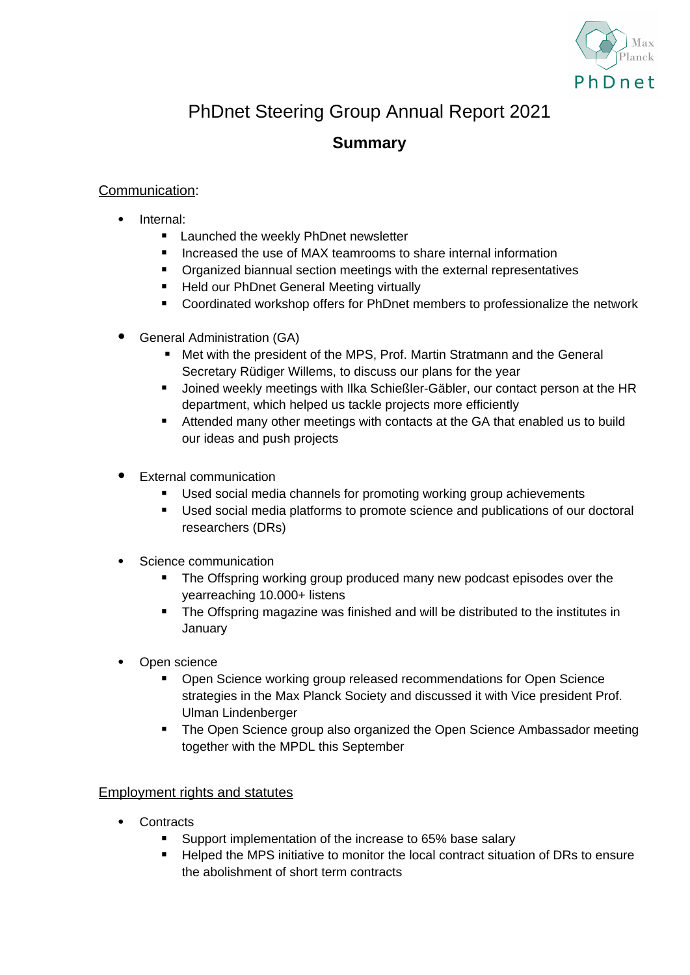

# PhDnet Steering Group Annual Report 2021

# **Summary**

## Communication:

- Internal:
	- **Launched the weekly PhDnet newsletter**
	- **If** Increased the use of MAX teamrooms to share internal information
	- **•** Organized biannual section meetings with the external representatives
	- Held our PhDnet General Meeting virtually
	- Coordinated workshop offers for PhDnet members to professionalize the network
- General Administration (GA)
	- Met with the president of the MPS, Prof. Martin Stratmann and the General Secretary Rüdiger Willems, to discuss our plans for the year
	- Joined weekly meetings with Ilka Schießler-Gäbler, our contact person at the HR department, which helped us tackle projects more efficiently
	- Attended many other meetings with contacts at the GA that enabled us to build our ideas and push projects
- External communication
	- Used social media channels for promoting working group achievements
	- Used social media platforms to promote science and publications of our doctoral researchers (DRs)
- Science communication
	- **The Offspring working group produced many new podcast episodes over the** yearreaching 10.000+ listens
	- **The Offspring magazine was finished and will be distributed to the institutes in January**
- Open science
	- Open Science working group released recommendations for Open Science strategies in the Max Planck Society and discussed it with Vice president Prof. Ulman Lindenberger
	- The Open Science group also organized the Open Science Ambassador meeting together with the MPDL this September

### Employment rights and statutes

- **Contracts** 
	- Support implementation of the increase to 65% base salary
	- Helped the MPS initiative to monitor the local contract situation of DRs to ensure the abolishment of short term contracts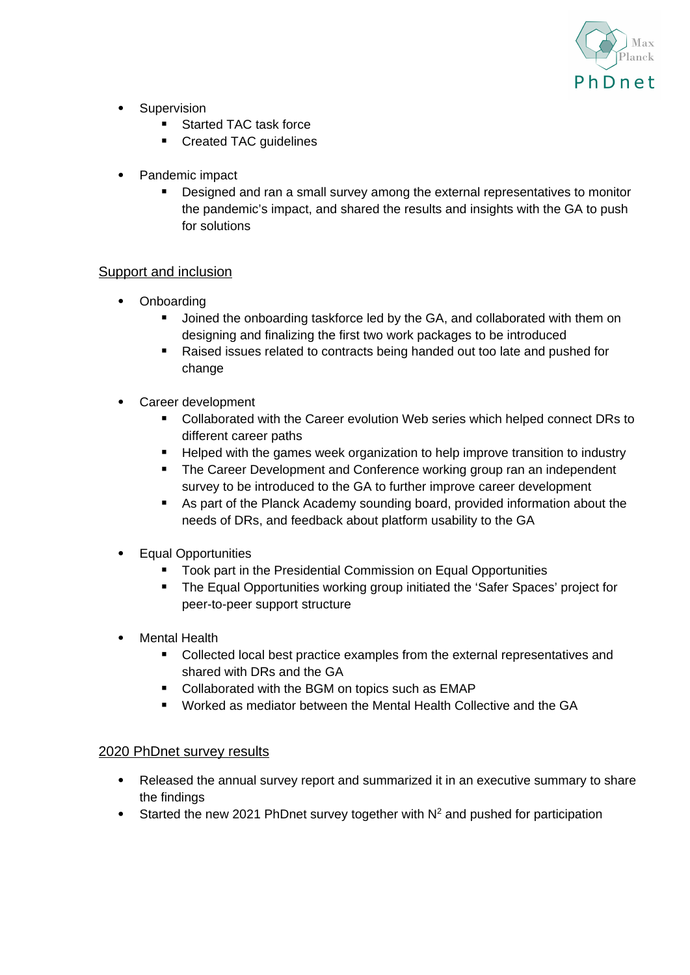

- Supervision
	- **Started TAC task force**
	- Created TAC quidelines
- Pandemic impact
	- Designed and ran a small survey among the external representatives to monitor the pandemic's impact, and shared the results and insights with the GA to push for solutions

### Support and inclusion

- Onboarding
	- **Joined the onboarding taskforce led by the GA, and collaborated with them on** designing and finalizing the first two work packages to be introduced
	- Raised issues related to contracts being handed out too late and pushed for change
- Career development
	- Collaborated with the Career evolution Web series which helped connect DRs to different career paths
	- Helped with the games week organization to help improve transition to industry
	- **The Career Development and Conference working group ran an independent** survey to be introduced to the GA to further improve career development
	- As part of the Planck Academy sounding board, provided information about the needs of DRs, and feedback about platform usability to the GA
- Equal Opportunities
	- **Took part in the Presidential Commission on Equal Opportunities**
	- **The Equal Opportunities working group initiated the 'Safer Spaces' project for** peer-to-peer support structure
- Mental Health
	- **•** Collected local best practice examples from the external representatives and shared with DRs and the GA
	- Collaborated with the BGM on topics such as EMAP
	- Worked as mediator between the Mental Health Collective and the GA

### 2020 PhDnet survey results

- Released the annual survey report and summarized it in an executive summary to share the findings
- Started the new 2021 PhDnet survey together with  $N^2$  and pushed for participation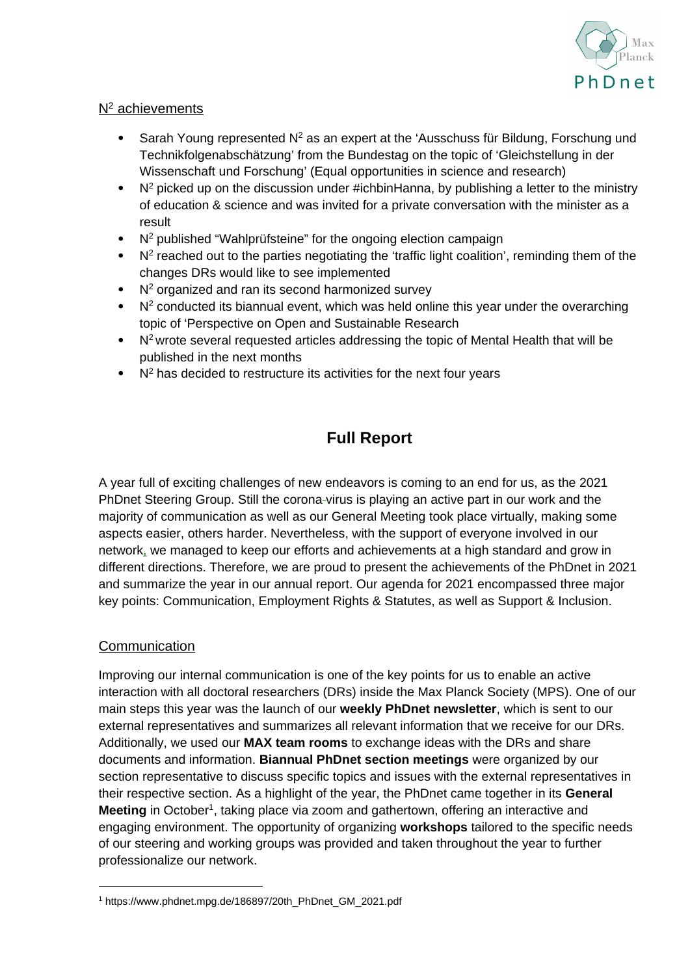

### $N^2$  achievements

- Sarah Young represented  $N^2$  as an expert at the 'Ausschuss für Bildung, Forschung und Technikfolgenabschätzung' from the Bundestag on the topic of 'Gleichstellung in der Wissenschaft und Forschung' (Equal opportunities in science and research)
- $\bullet$  N<sup>2</sup> picked up on the discussion under #ichbinHanna, by publishing a letter to the ministry of education & science and was invited for a private conversation with the minister as a result
- N<sup>2</sup> published "Wahlprüfsteine" for the ongoing election campaign
- $\bullet$  N<sup>2</sup> reached out to the parties negotiating the 'traffic light coalition', reminding them of the changes DRs would like to see implemented
- $\bullet$  N<sup>2</sup> organized and ran its second harmonized survey
- $\bullet$  N<sup>2</sup> conducted its biannual event, which was held online this year under the overarching topic of 'Perspective on Open and Sustainable Research
- $\bullet$  N<sup>2</sup> wrote several requested articles addressing the topic of Mental Health that will be published in the next months
- $\bullet$  N<sup>2</sup> has decided to restructure its activities for the next four years

# **Full Report**

A year full of exciting challenges of new endeavors is coming to an end for us, as the 2021 PhDnet Steering Group. Still the corona virus is playing an active part in our work and the majority of communication as well as our General Meeting took place virtually, making some aspects easier, others harder. Nevertheless, with the support of everyone involved in our network, we managed to keep our efforts and achievements at a high standard and grow in different directions. Therefore, we are proud to present the achievements of the PhDnet in 2021 and summarize the year in our annual report. Our agenda for 2021 encompassed three major key points: Communication, Employment Rights & Statutes, as well as Support & Inclusion.

### **Communication**

Improving our internal communication is one of the key points for us to enable an active interaction with all doctoral researchers (DRs) inside the Max Planck Society (MPS). One of our main steps this year was the launch of our **weekly PhDnet newsletter**, which is sent to our external representatives and summarizes all relevant information that we receive for our DRs. Additionally, we used our **MAX team rooms** to exchange ideas with the DRs and share documents and information. **Biannual PhDnet section meetings** were organized by our section representative to discuss specific topics and issues with the external representatives in their respective section. As a highlight of the year, the PhDnet came together in its **General Meeting** in October<sup>1</sup>, taking place via zoom and gathertown, offering an interactive and engaging environment. The opportunity of organizing **workshops** tailored to the specific needs of our steering and working groups was provided and taken throughout the year to further professionalize our network.

<sup>1</sup> https://www.phdnet.mpg.de/186897/20th\_PhDnet\_GM\_2021.pdf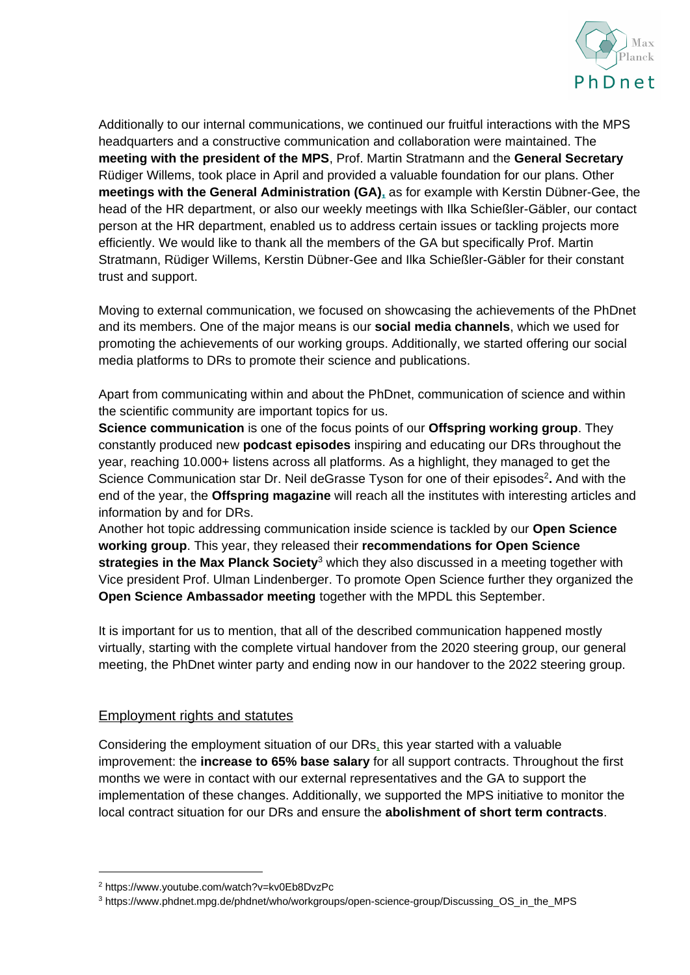

Additionally to our internal communications, we continued our fruitful interactions with the MPS headquarters and a constructive communication and collaboration were maintained. The **meeting with the president of the MPS**, Prof. Martin Stratmann and the **General Secretary** Rüdiger Willems, took place in April and provided a valuable foundation for our plans. Other **meetings with the General Administration (GA),** as for example with Kerstin Dübner-Gee, the head of the HR department, or also our weekly meetings with Ilka Schießler-Gäbler, our contact person at the HR department, enabled us to address certain issues or tackling projects more efficiently. We would like to thank all the members of the GA but specifically Prof. Martin Stratmann, Rüdiger Willems, Kerstin Dübner-Gee and Ilka Schießler-Gäbler for their constant trust and support.

Moving to external communication, we focused on showcasing the achievements of the PhDnet and its members. One of the major means is our **social media channels**, which we used for promoting the achievements of our working groups. Additionally, we started offering our social media platforms to DRs to promote their science and publications.

Apart from communicating within and about the PhDnet, communication of science and within the scientific community are important topics for us.

**Science communication** is one of the focus points of our **Offspring working group**. They constantly produced new **podcast episodes** inspiring and educating our DRs throughout the year, reaching 10.000+ listens across all platforms. As a highlight, they managed to get the Science Communication star Dr. Neil deGrasse Tyson for one of their episodes<sup>2</sup>. And with the end of the year, the **Offspring magazine** will reach all the institutes with interesting articles and information by and for DRs.

Another hot topic addressing communication inside science is tackled by our **Open Science working group**. This year, they released their **recommendations for Open Science strategies in the Max Planck Society**<sup>3</sup> which they also discussed in a meeting together with Vice president Prof. Ulman Lindenberger. To promote Open Science further they organized the **Open Science Ambassador meeting** together with the MPDL this September.

It is important for us to mention, that all of the described communication happened mostly virtually, starting with the complete virtual handover from the 2020 steering group, our general meeting, the PhDnet winter party and ending now in our handover to the 2022 steering group.

### Employment rights and statutes

Considering the employment situation of our DRs, this year started with a valuable improvement: the **increase to 65% base salary** for all support contracts. Throughout the first months we were in contact with our external representatives and the GA to support the implementation of these changes. Additionally, we supported the MPS initiative to monitor the local contract situation for our DRs and ensure the **abolishment of short term contracts**.

<sup>2</sup> https://www.youtube.com/watch?v=kv0Eb8DvzPc

<sup>3</sup> https://www.phdnet.mpg.de/phdnet/who/workgroups/open-science-group/Discussing\_OS\_in\_the\_MPS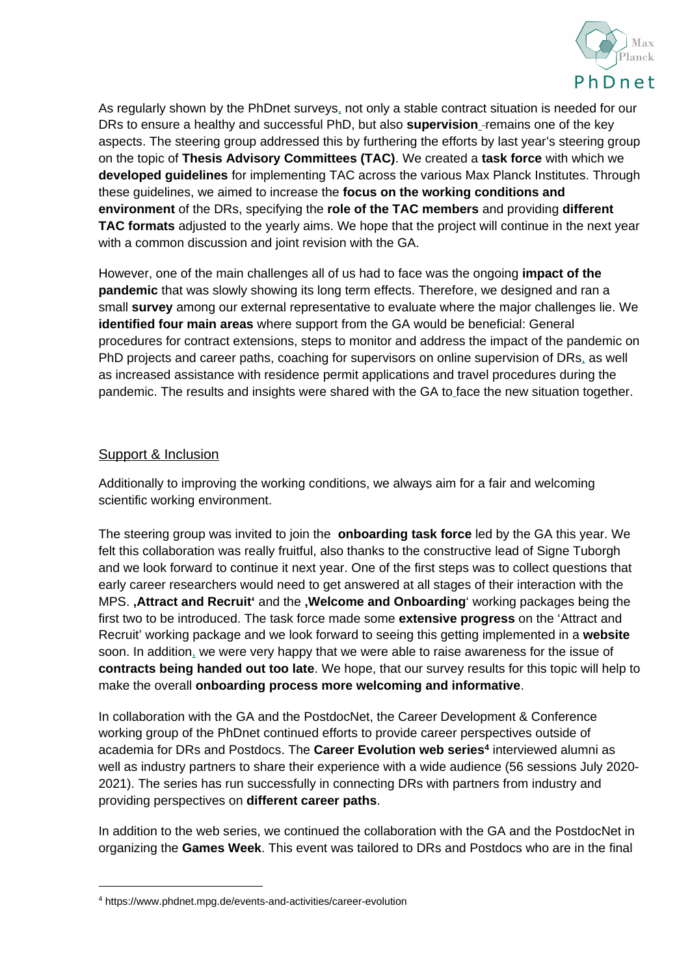

As regularly shown by the PhDnet surveys, not only a stable contract situation is needed for our DRs to ensure a healthy and successful PhD, but also **supervision** remains one of the key aspects. The steering group addressed this by furthering the efforts by last year's steering group on the topic of **Thesis Advisory Committees (TAC)**. We created a **task force** with which we **developed guidelines** for implementing TAC across the various Max Planck Institutes. Through these guidelines, we aimed to increase the **focus on the working conditions and environment** of the DRs, specifying the **role of the TAC members** and providing **different TAC formats** adjusted to the yearly aims. We hope that the project will continue in the next year with a common discussion and joint revision with the GA.

However, one of the main challenges all of us had to face was the ongoing **impact of the pandemic** that was slowly showing its long term effects. Therefore, we designed and ran a small **survey** among our external representative to evaluate where the major challenges lie. We **identified four main areas** where support from the GA would be beneficial: General procedures for contract extensions, steps to monitor and address the impact of the pandemic on PhD projects and career paths, coaching for supervisors on online supervision of DRs, as well as increased assistance with residence permit applications and travel procedures during the pandemic. The results and insights were shared with the GA to face the new situation together.

### Support & Inclusion

Additionally to improving the working conditions, we always aim for a fair and welcoming scientific working environment.

The steering group was invited to join the **onboarding task force** led by the GA this year. We felt this collaboration was really fruitful, also thanks to the constructive lead of Signe Tuborgh and we look forward to continue it next year. One of the first steps was to collect questions that early career researchers would need to get answered at all stages of their interaction with the MPS. **'Attract and Recruit'** and the **'Welcome and Onboarding**' working packages being the first two to be introduced. The task force made some **extensive progress** on the 'Attract and Recruit' working package and we look forward to seeing this getting implemented in a **website** soon. In addition, we were very happy that we were able to raise awareness for the issue of **contracts being handed out too late**. We hope, that our survey results for this topic will help to make the overall **onboarding process more welcoming and informative**.

In collaboration with the GA and the PostdocNet, the Career Development & Conference working group of the PhDnet continued efforts to provide career perspectives outside of academia for DRs and Postdocs. The **Career Evolution web series<sup>4</sup>** interviewed alumni as well as industry partners to share their experience with a wide audience (56 sessions July 2020- 2021). The series has run successfully in connecting DRs with partners from industry and providing perspectives on **different career paths**.

In addition to the web series, we continued the collaboration with the GA and the PostdocNet in organizing the **Games Week**. This event was tailored to DRs and Postdocs who are in the final

<sup>4</sup> https://www.phdnet.mpg.de/events-and-activities/career-evolution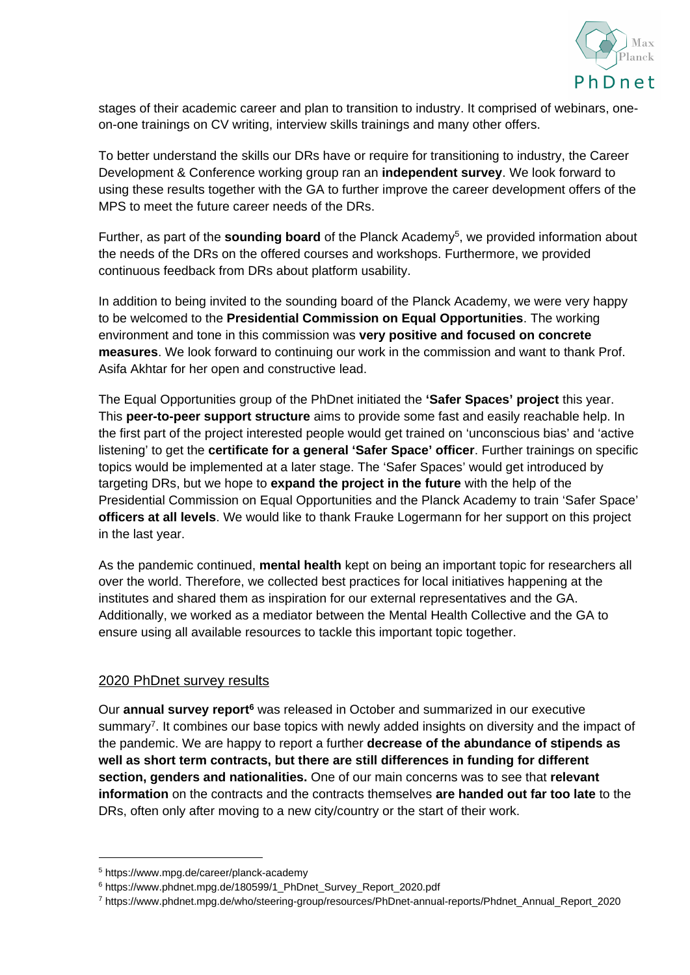

stages of their academic career and plan to transition to industry. It comprised of webinars, oneon-one trainings on CV writing, interview skills trainings and many other offers.

To better understand the skills our DRs have or require for transitioning to industry, the Career Development & Conference working group ran an **independent survey**. We look forward to using these results together with the GA to further improve the career development offers of the MPS to meet the future career needs of the DRs.

Further, as part of the **sounding board** of the Planck Academy<sup>5</sup>, we provided information about the needs of the DRs on the offered courses and workshops. Furthermore, we provided continuous feedback from DRs about platform usability.

In addition to being invited to the sounding board of the Planck Academy, we were very happy to be welcomed to the **Presidential Commission on Equal Opportunities**. The working environment and tone in this commission was **very positive and focused on concrete measures**. We look forward to continuing our work in the commission and want to thank Prof. Asifa Akhtar for her open and constructive lead.

The Equal Opportunities group of the PhDnet initiated the **'Safer Spaces' project** this year. This **peer-to-peer support structure** aims to provide some fast and easily reachable help. In the first part of the project interested people would get trained on 'unconscious bias' and 'active listening' to get the **certificate for a general 'Safer Space' officer**. Further trainings on specific topics would be implemented at a later stage. The 'Safer Spaces' would get introduced by targeting DRs, but we hope to **expand the project in the future** with the help of the Presidential Commission on Equal Opportunities and the Planck Academy to train 'Safer Space' **officers at all levels**. We would like to thank Frauke Logermann for her support on this project in the last year.

As the pandemic continued, **mental health** kept on being an important topic for researchers all over the world. Therefore, we collected best practices for local initiatives happening at the institutes and shared them as inspiration for our external representatives and the GA. Additionally, we worked as a mediator between the Mental Health Collective and the GA to ensure using all available resources to tackle this important topic together.

### 2020 PhDnet survey results

Our **annual survey report<sup>6</sup>** was released in October and summarized in our executive summary<sup>7</sup>. It combines our base topics with newly added insights on diversity and the impact of the pandemic. We are happy to report a further **decrease of the abundance of stipends as well as short term contracts, but there are still differences in funding for different section, genders and nationalities.** One of our main concerns was to see that **relevant information** on the contracts and the contracts themselves **are handed out far too late** to the DRs, often only after moving to a new city/country or the start of their work.

<sup>5</sup> https://www.mpg.de/career/planck-academy

<sup>&</sup>lt;sup>6</sup> https://www.phdnet.mpg.de/180599/1\_PhDnet\_Survey\_Report\_2020.pdf

<sup>7</sup> https://www.phdnet.mpg.de/who/steering-group/resources/PhDnet-annual-reports/Phdnet\_Annual\_Report\_2020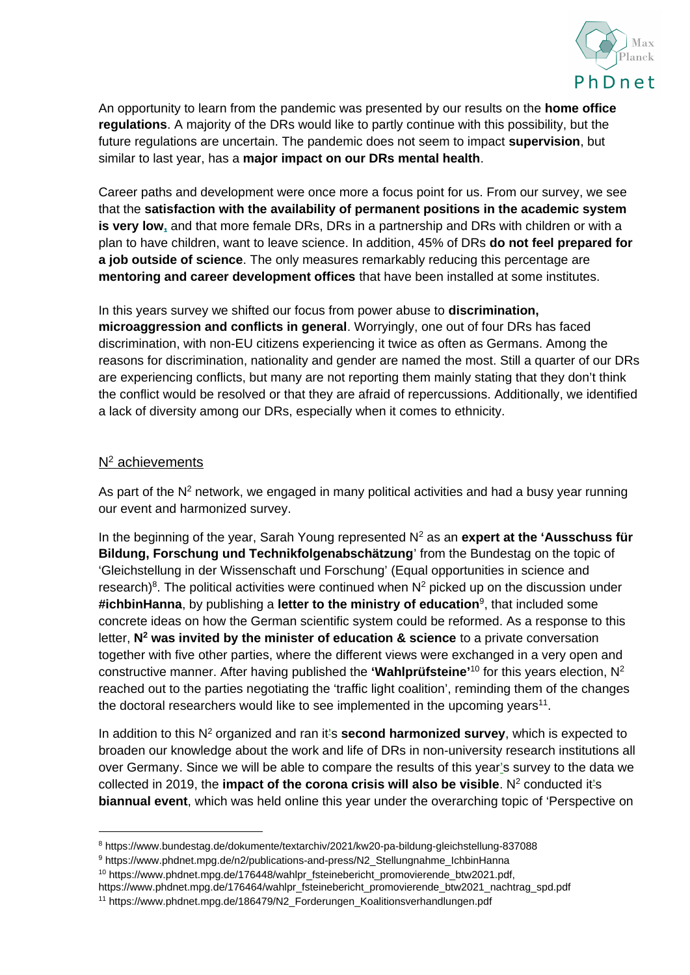

An opportunity to learn from the pandemic was presented by our results on the **home office regulations**. A majority of the DRs would like to partly continue with this possibility, but the future regulations are uncertain. The pandemic does not seem to impact **supervision**, but similar to last year, has a **major impact on our DRs mental health**.

Career paths and development were once more a focus point for us. From our survey, we see that the **satisfaction with the availability of permanent positions in the academic system is very low,** and that more female DRs, DRs in a partnership and DRs with children or with a plan to have children, want to leave science. In addition, 45% of DRs **do not feel prepared for a job outside of science**. The only measures remarkably reducing this percentage are **mentoring and career development offices** that have been installed at some institutes.

In this years survey we shifted our focus from power abuse to **discrimination, microaggression and conflicts in general**. Worryingly, one out of four DRs has faced discrimination, with non-EU citizens experiencing it twice as often as Germans. Among the reasons for discrimination, nationality and gender are named the most. Still a quarter of our DRs are experiencing conflicts, but many are not reporting them mainly stating that they don't think the conflict would be resolved or that they are afraid of repercussions. Additionally, we identified a lack of diversity among our DRs, especially when it comes to ethnicity.

#### $N^2$  achievements

As part of the  $N^2$  network, we engaged in many political activities and had a busy year running our event and harmonized survey.

In the beginning of the year, Sarah Young represented N<sup>2</sup> as an **expert at the 'Ausschuss für Bildung, Forschung und Technikfolgenabschätzung**' from the Bundestag on the topic of 'Gleichstellung in der Wissenschaft und Forschung' (Equal opportunities in science and research)<sup>8</sup>. The political activities were continued when  $N^2$  picked up on the discussion under **#ichbinHanna**, by publishing a **letter to the ministry of education**<sup>9</sup> , that included some concrete ideas on how the German scientific system could be reformed. As a response to this letter, **N<sup>2</sup> was invited by the minister of education & science** to a private conversation together with five other parties, where the different views were exchanged in a very open and constructive manner. After having published the **'Wahlprüfsteine'**<sup>10</sup> for this years election, N<sup>2</sup> reached out to the parties negotiating the 'traffic light coalition', reminding them of the changes the doctoral researchers would like to see implemented in the upcoming years $^{\rm 11}.$ 

In addition to this N<sup>2</sup> organized and ran it's **second harmonized survey**, which is expected to broaden our knowledge about the work and life of DRs in non-university research institutions all over Germany. Since we will be able to compare the results of this year's survey to the data we collected in 2019, the **impact of the corona crisis will also be visible**. N<sup>2</sup> conducted it's **biannual event**, which was held online this year under the overarching topic of 'Perspective on

<sup>8</sup> https://www.bundestag.de/dokumente/textarchiv/2021/kw20-pa-bildung-gleichstellung-837088

<sup>9</sup> https://www.phdnet.mpg.de/n2/publications-and-press/N2\_Stellungnahme\_IchbinHanna

<sup>&</sup>lt;sup>10</sup> https://www.phdnet.mpg.de/176448/wahlpr\_fsteinebericht\_promovierende\_btw2021.pdf,

https://www.phdnet.mpg.de/176464/wahlpr\_fsteinebericht\_promovierende\_btw2021\_nachtrag\_spd.pdf

<sup>11</sup> https://www.phdnet.mpg.de/186479/N2\_Forderungen\_Koalitionsverhandlungen.pdf